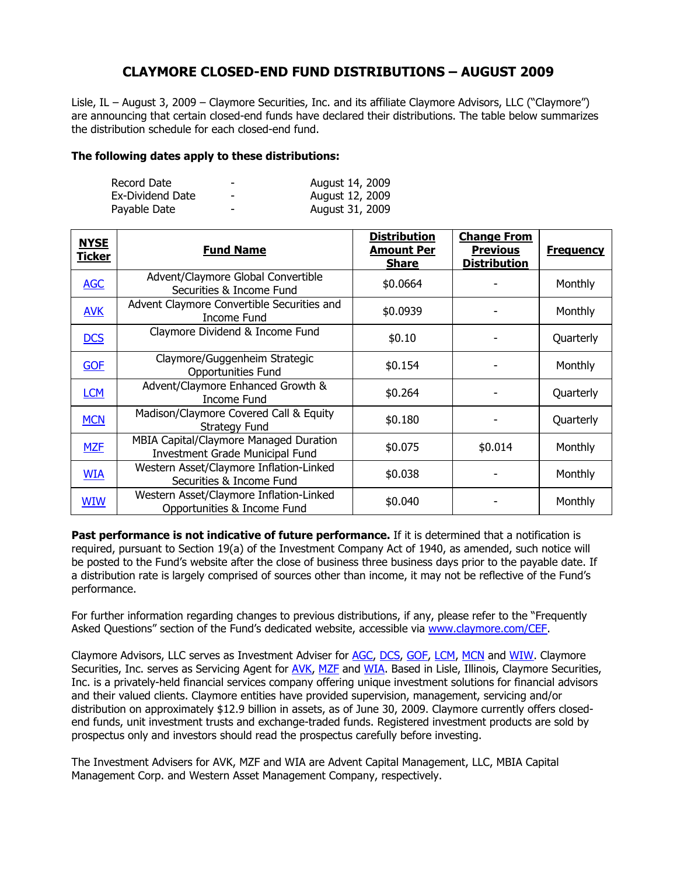## **CLAYMORE CLOSED-END FUND DISTRIBUTIONS – AUGUST 2009**

Lisle, IL – August 3, 2009 – Claymore Securities, Inc. and its affiliate Claymore Advisors, LLC ("Claymore") are announcing that certain closed-end funds have declared their distributions. The table below summarizes the distribution schedule for each closed-end fund.

## **The following dates apply to these distributions:**

| Record Date      | -               | August 14, 2009 |
|------------------|-----------------|-----------------|
| Ex-Dividend Date | $\qquad \qquad$ | August 12, 2009 |
| Payable Date     | $\qquad \qquad$ | August 31, 2009 |

| <b>NYSE</b><br><b>Ticker</b> | <b>Fund Name</b>                                                                 | <b>Distribution</b><br><b>Amount Per</b><br><b>Share</b> | <b>Change From</b><br><b>Previous</b><br><b>Distribution</b> | <b>Frequency</b> |
|------------------------------|----------------------------------------------------------------------------------|----------------------------------------------------------|--------------------------------------------------------------|------------------|
| <b>AGC</b>                   | Advent/Claymore Global Convertible<br>Securities & Income Fund                   | \$0.0664                                                 |                                                              | Monthly          |
| <b>AVK</b>                   | Advent Claymore Convertible Securities and<br><b>Income Fund</b>                 | \$0.0939                                                 |                                                              | Monthly          |
| <b>DCS</b>                   | Claymore Dividend & Income Fund                                                  | \$0.10                                                   |                                                              | Quarterly        |
| <b>GOF</b>                   | Claymore/Guggenheim Strategic<br><b>Opportunities Fund</b>                       | \$0.154                                                  |                                                              | Monthly          |
| <b>LCM</b>                   | Advent/Claymore Enhanced Growth &<br>Income Fund                                 | \$0.264                                                  |                                                              | Quarterly        |
| <b>MCN</b>                   | Madison/Claymore Covered Call & Equity<br><b>Strategy Fund</b>                   | \$0.180                                                  |                                                              | Quarterly        |
| <b>MZF</b>                   | <b>MBIA Capital/Claymore Managed Duration</b><br>Investment Grade Municipal Fund | \$0.075                                                  | \$0.014                                                      | Monthly          |
| <b>WIA</b>                   | Western Asset/Claymore Inflation-Linked<br>Securities & Income Fund              | \$0.038                                                  |                                                              | Monthly          |
| <b>WIW</b>                   | Western Asset/Claymore Inflation-Linked<br>Opportunities & Income Fund           | \$0.040                                                  |                                                              | Monthly          |

**Past performance is not indicative of future performance.** If it is determined that a notification is required, pursuant to Section 19(a) of the Investment Company Act of 1940, as amended, such notice will be posted to the Fund's website after the close of business three business days prior to the payable date. If a distribution rate is largely comprised of sources other than income, it may not be reflective of the Fund's performance.

For further information regarding changes to previous distributions, if any, please refer to the "Frequently Asked Questions" section of the Fund's dedicated website, accessible via www.claymore.com/CEF.

Claymore Advisors, LLC serves as Investment Adviser for AGC, DCS, GOF, LCM, MCN and WIW. Claymore Securities, Inc. serves as Servicing Agent for AVK, MZF and WIA. Based in Lisle, Illinois, Claymore Securities, Inc. is a privately-held financial services company offering unique investment solutions for financial advisors and their valued clients. Claymore entities have provided supervision, management, servicing and/or distribution on approximately \$12.9 billion in assets, as of June 30, 2009. Claymore currently offers closedend funds, unit investment trusts and exchange-traded funds. Registered investment products are sold by prospectus only and investors should read the prospectus carefully before investing.

The Investment Advisers for AVK, MZF and WIA are Advent Capital Management, LLC, MBIA Capital Management Corp. and Western Asset Management Company, respectively.